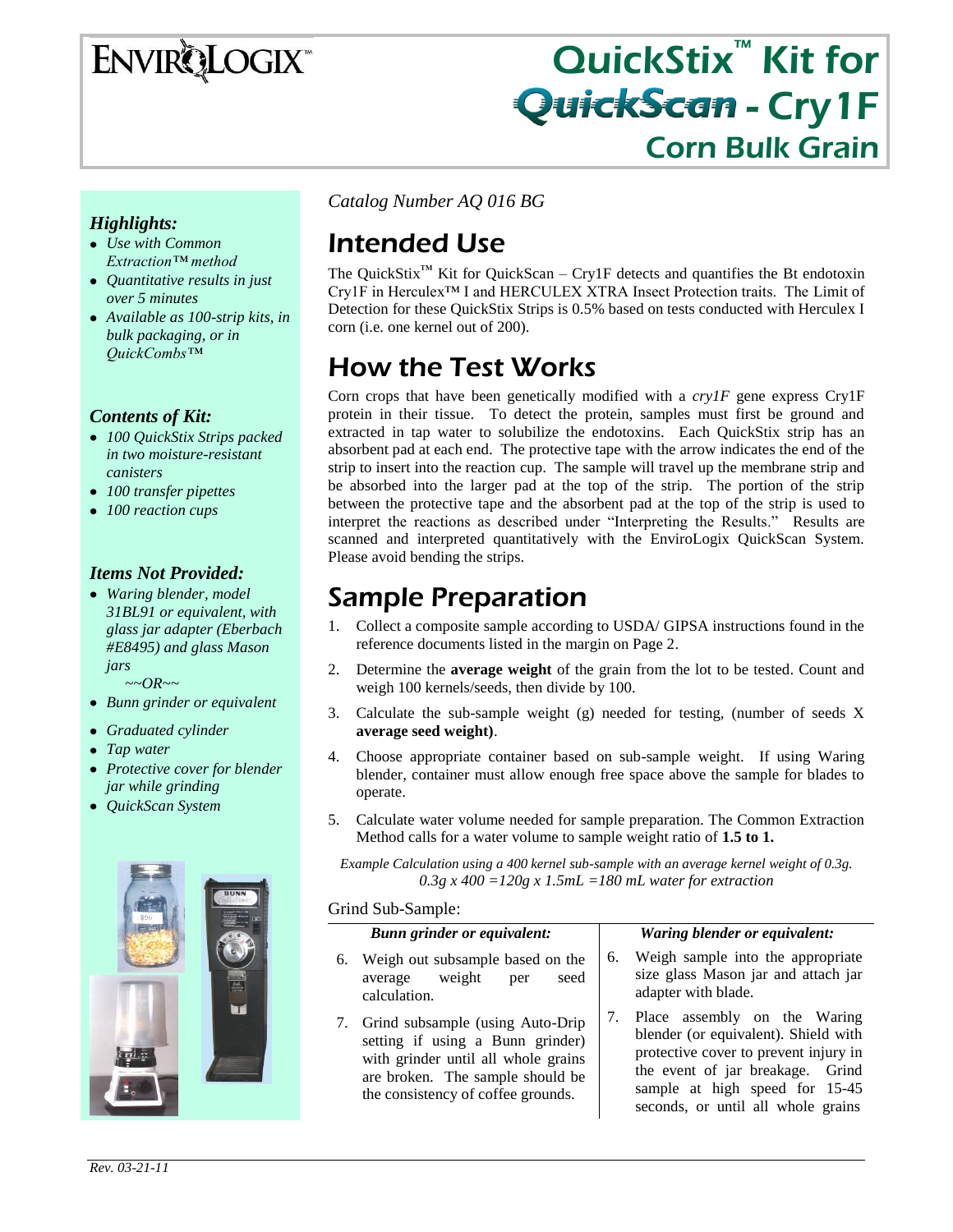# ENVIRQLOGIX

# QuickStix<sup>™</sup> Kit for **QuickScan - Cry1F** Corn Bulk Grain

### *Highlights:*

- *Use with Common Extraction™ method*
- *Quantitative results in just over 5 minutes*
- *Available as 100-strip kits, in bulk packaging, or in QuickCombs™*

### *Contents of Kit:*

- *100 QuickStix Strips packed in two moisture-resistant canisters*
- *100 transfer pipettes*
- *100 reaction cups*

### *Items Not Provided:*

*Waring blender, model 31BL91 or equivalent, with glass jar adapter (Eberbach #E8495) and glass Mason jars*

 *~~OR~~*

- *Bunn grinder or equivalent*
- *Graduated cylinder*
- *Tap water*
- *Protective cover for blender jar while grinding*
- *QuickScan System*



*Catalog Number AQ 016 BG*

# Intended Use

The QuickStix™ Kit for QuickScan – Cry1F detects and quantifies the Bt endotoxin Cry1F in Herculex™ I and HERCULEX XTRA Insect Protection traits. The Limit of Detection for these QuickStix Strips is 0.5% based on tests conducted with Herculex I corn (i.e. one kernel out of 200).

# How the Test Works

Corn crops that have been genetically modified with a *cry1F* gene express Cry1F protein in their tissue. To detect the protein, samples must first be ground and extracted in tap water to solubilize the endotoxins. Each QuickStix strip has an absorbent pad at each end. The protective tape with the arrow indicates the end of the strip to insert into the reaction cup. The sample will travel up the membrane strip and be absorbed into the larger pad at the top of the strip. The portion of the strip between the protective tape and the absorbent pad at the top of the strip is used to interpret the reactions as described under "Interpreting the Results." Results are scanned and interpreted quantitatively with the EnviroLogix QuickScan System. Please avoid bending the strips.

## Sample Preparation

- 1. Collect a composite sample according to USDA/ GIPSA instructions found in the reference documents listed in the margin on Page 2.
- 2. Determine the **average weight** of the grain from the lot to be tested. Count and weigh 100 kernels/seeds, then divide by 100.
- 3. Calculate the sub-sample weight (g) needed for testing, (number of seeds X **average seed weight)**.
- 4. Choose appropriate container based on sub-sample weight. If using Waring blender, container must allow enough free space above the sample for blades to operate.
- 5. Calculate water volume needed for sample preparation. The Common Extraction Method calls for a water volume to sample weight ratio of **1.5 to 1.**

*Example Calculation using a 400 kernel sub-sample with an average kernel weight of 0.3g. 0.3g x 400 =120g x 1.5mL =180 mL water for extraction*

Grind Sub-Sample:

#### *Bunn grinder or equivalent:*

- 6. Weigh out subsample based on the average weight per seed calculation.
- 7. Grind subsample (using Auto-Drip setting if using a Bunn grinder) with grinder until all whole grains are broken. The sample should be the consistency of coffee grounds.

#### *Waring blender or equivalent:*

- 6. Weigh sample into the appropriate size glass Mason jar and attach jar adapter with blade.
- 7. Place assembly on the Waring blender (or equivalent). Shield with protective cover to prevent injury in the event of jar breakage. Grind sample at high speed for 15-45 seconds, or until all whole grains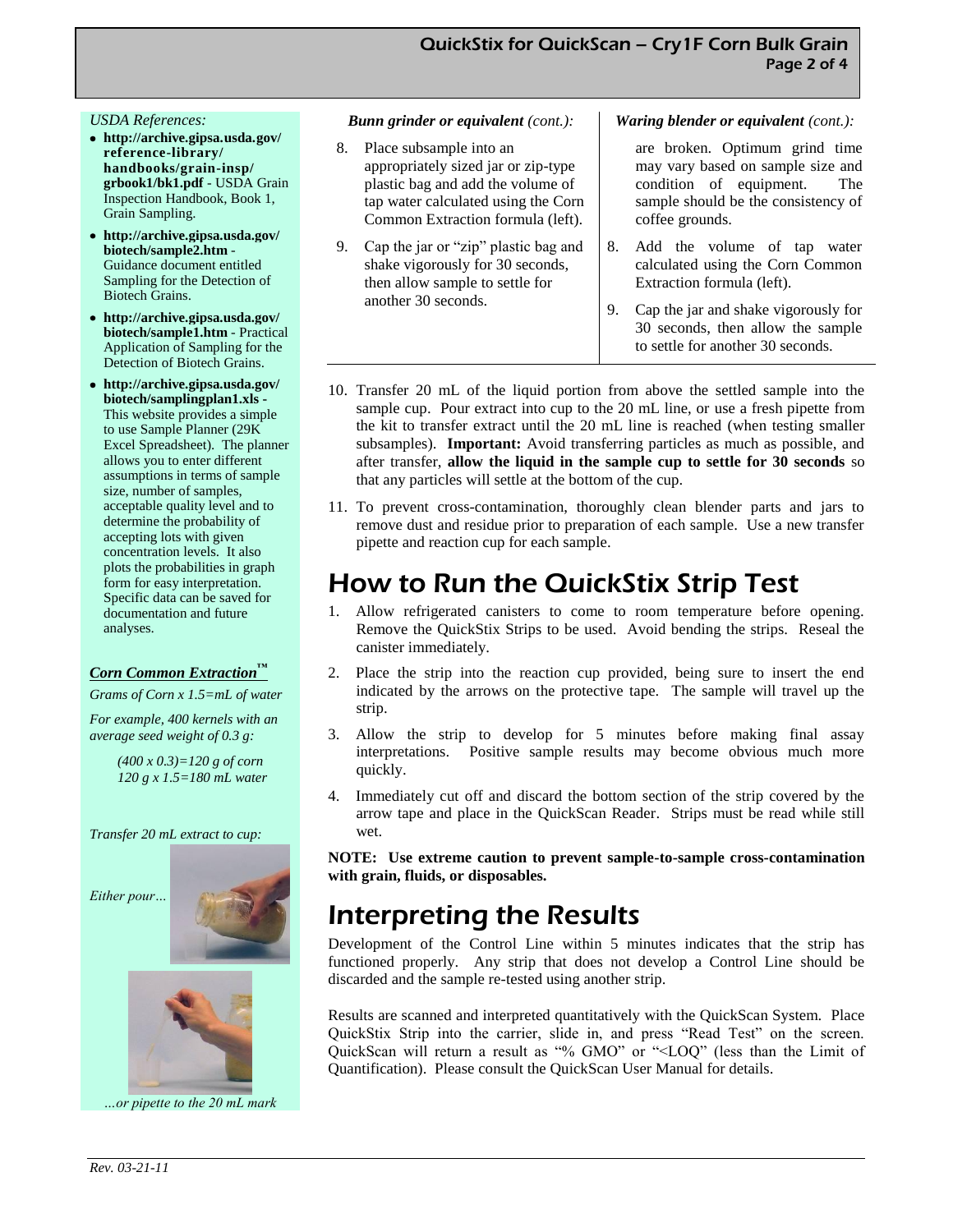#### *USDA References:*

- **http://archive.gipsa.usda.gov/ reference-library/ handbooks/grain-insp/ grbook1/bk1.pdf** - USDA Grain Inspection Handbook, Book 1, Grain Sampling.
- **http://archive.gipsa.usda.gov/ biotech/sample2.htm** - Guidance document entitled Sampling for the Detection of Biotech Grains.
- **http://archive.gipsa.usda.gov/ biotech/sample1.htm** - Practical Application of Sampling for the Detection of Biotech Grains.
- **http://archive.gipsa.usda.gov/ biotech/samplingplan1.xls -** This website provides a simple to use Sample Planner (29K Excel Spreadsheet). The planner allows you to enter different assumptions in terms of sample size, number of samples, acceptable quality level and to determine the probability of accepting lots with given concentration levels. It also plots the probabilities in graph form for easy interpretation. Specific data can be saved for documentation and future analyses.

#### *Corn Common Extraction™*

*Grams of Corn x 1.5=mL of water*

*For example, 400 kernels with an average seed weight of 0.3 g:*

> *(400 x 0.3)=120 g of corn 120 g x 1.5=180 mL water*

*Transfer 20 mL extract to cup:* 





*…or pipette to the 20 mL mark* 

#### *Bunn grinder or equivalent (cont.):*

- 8. Place subsample into an appropriately sized jar or zip-type plastic bag and add the volume of tap water calculated using the Corn Common Extraction formula (left).
- 9. Cap the jar or "zip" plastic bag and shake vigorously for 30 seconds, then allow sample to settle for another 30 seconds.

#### *Waring blender or equivalent (cont.):*

are broken. Optimum grind time may vary based on sample size and condition of equipment. The sample should be the consistency of coffee grounds.

- 8. Add the volume of tap water calculated using the Corn Common Extraction formula (left).
- 9. Cap the jar and shake vigorously for 30 seconds, then allow the sample to settle for another 30 seconds.
- 10. Transfer 20 mL of the liquid portion from above the settled sample into the sample cup. Pour extract into cup to the 20 mL line, or use a fresh pipette from the kit to transfer extract until the 20 mL line is reached (when testing smaller subsamples). **Important:** Avoid transferring particles as much as possible, and after transfer, **allow the liquid in the sample cup to settle for 30 seconds** so that any particles will settle at the bottom of the cup.
- 11. To prevent cross-contamination, thoroughly clean blender parts and jars to remove dust and residue prior to preparation of each sample. Use a new transfer pipette and reaction cup for each sample.

### How to Run the QuickStix Strip Test

- 1. Allow refrigerated canisters to come to room temperature before opening. Remove the QuickStix Strips to be used. Avoid bending the strips. Reseal the canister immediately.
- 2. Place the strip into the reaction cup provided, being sure to insert the end indicated by the arrows on the protective tape. The sample will travel up the strip.
- 3. Allow the strip to develop for 5 minutes before making final assay interpretations. Positive sample results may become obvious much more quickly.
- 4. Immediately cut off and discard the bottom section of the strip covered by the arrow tape and place in the QuickScan Reader. Strips must be read while still wet.

**NOTE: Use extreme caution to prevent sample-to-sample cross-contamination with grain, fluids, or disposables.**

### Interpreting the Results

Development of the Control Line within 5 minutes indicates that the strip has functioned properly. Any strip that does not develop a Control Line should be discarded and the sample re-tested using another strip.

Results are scanned and interpreted quantitatively with the QuickScan System. Place QuickStix Strip into the carrier, slide in, and press "Read Test" on the screen. QuickScan will return a result as "% GMO" or "<LOQ" (less than the Limit of Quantification). Please consult the QuickScan User Manual for details.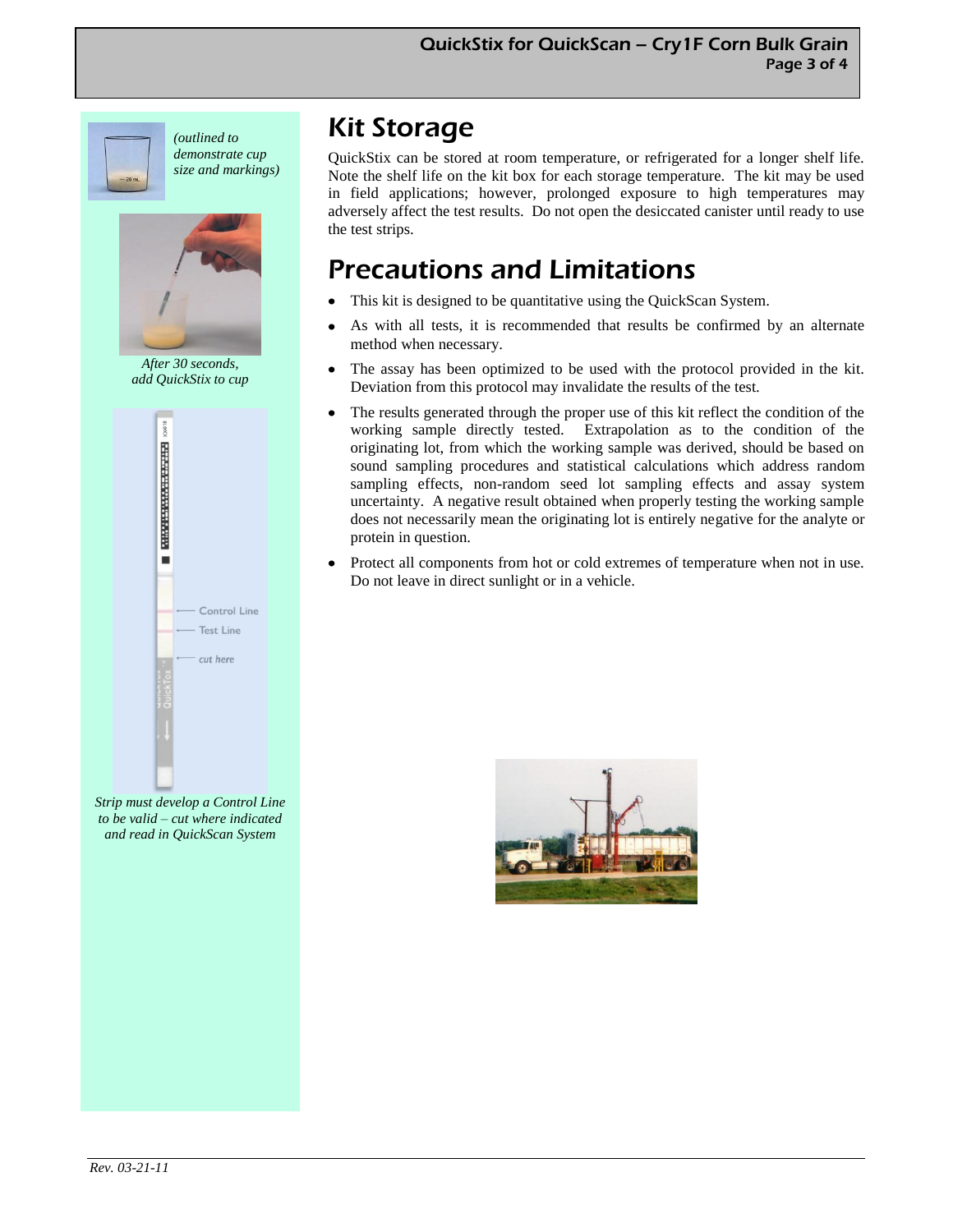

*(outlined to demonstrate cup size and markings)*



*After 30 seconds, add QuickStix to cup*



*Strip must develop a Control Line to be valid – cut where indicated and read in QuickScan System* 

# Kit Storage

QuickStix can be stored at room temperature, or refrigerated for a longer shelf life. Note the shelf life on the kit box for each storage temperature. The kit may be used in field applications; however, prolonged exposure to high temperatures may adversely affect the test results. Do not open the desiccated canister until ready to use the test strips.

# Precautions and Limitations

- This kit is designed to be quantitative using the QuickScan System.
- As with all tests, it is recommended that results be confirmed by an alternate method when necessary.
- The assay has been optimized to be used with the protocol provided in the kit. Deviation from this protocol may invalidate the results of the test.
- The results generated through the proper use of this kit reflect the condition of the working sample directly tested. Extrapolation as to the condition of the originating lot, from which the working sample was derived, should be based on sound sampling procedures and statistical calculations which address random sampling effects, non-random seed lot sampling effects and assay system uncertainty. A negative result obtained when properly testing the working sample does not necessarily mean the originating lot is entirely negative for the analyte or protein in question.
- Protect all components from hot or cold extremes of temperature when not in use. Do not leave in direct sunlight or in a vehicle.